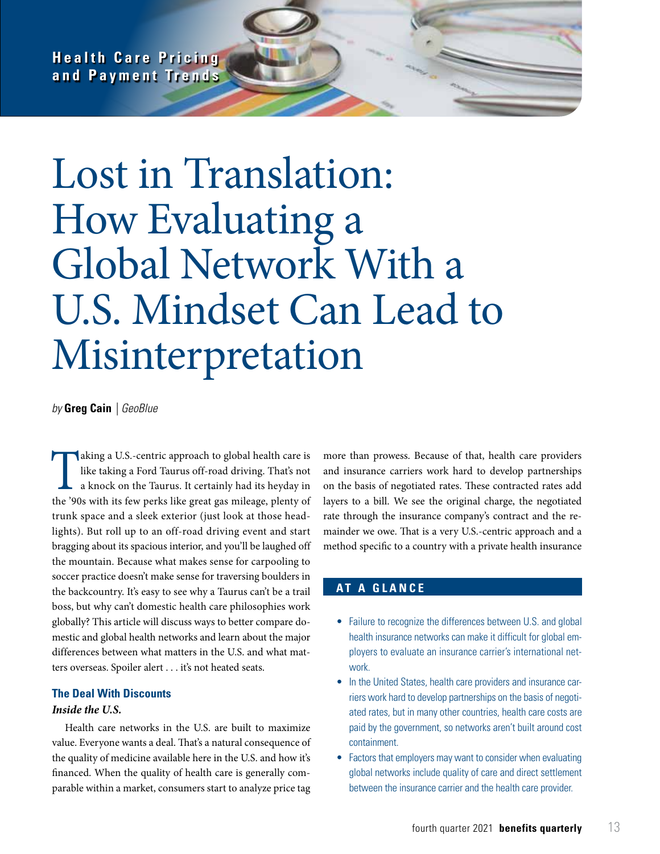**Health Care Pricing and Payment Trends**

# Lost in Translation: How Evaluating a Global Network With a U.S. Mindset Can Lead to Misinterpretation

*by* **Greg Cain** *| GeoBlue*

Taking a U.S.-centric approach to global health care is<br>like taking a Ford Taurus off-road driving. That's not<br>a knock on the Taurus. It certainly had its heyday in<br>the '90s with its few perks like great gas mileage, plent like taking a Ford Taurus off-road driving. That's not a knock on the Taurus. It certainly had its heyday in the '90s with its few perks like great gas mileage, plenty of trunk space and a sleek exterior (just look at those headlights). But roll up to an off-road driving event and start bragging about its spacious interior, and you'll be laughed off the mountain. Because what makes sense for carpooling to soccer practice doesn't make sense for traversing boulders in the backcountry. It's easy to see why a Taurus can't be a trail boss, but why can't domestic health care philosophies work globally? This article will discuss ways to better compare domestic and global health networks and learn about the major differences between what matters in the U.S. and what matters overseas. Spoiler alert . . . it's not heated seats.

## **The Deal With Discounts**

#### *Inside the U.S.*

Health care networks in the U.S. are built to maximize value. Everyone wants a deal. That's a natural consequence of the quality of medicine available here in the U.S. and how it's financed. When the quality of health care is generally comparable within a market, consumers start to analyze price tag more than prowess. Because of that, health care providers and insurance carriers work hard to develop partnerships on the basis of negotiated rates. These contracted rates add layers to a bill. We see the original charge, the negotiated rate through the insurance company's contract and the remainder we owe. That is a very U.S.-centric approach and a method specific to a country with a private health insurance

## **AT A GLANCE**

- Failure to recognize the differences between U.S. and global health insurance networks can make it difficult for global employers to evaluate an insurance carrier's international network.
- In the United States, health care providers and insurance carriers work hard to develop partnerships on the basis of negotiated rates, but in many other countries, health care costs are paid by the government, so networks aren't built around cost containment.
- Factors that employers may want to consider when evaluating global networks include quality of care and direct settlement between the insurance carrier and the health care provider.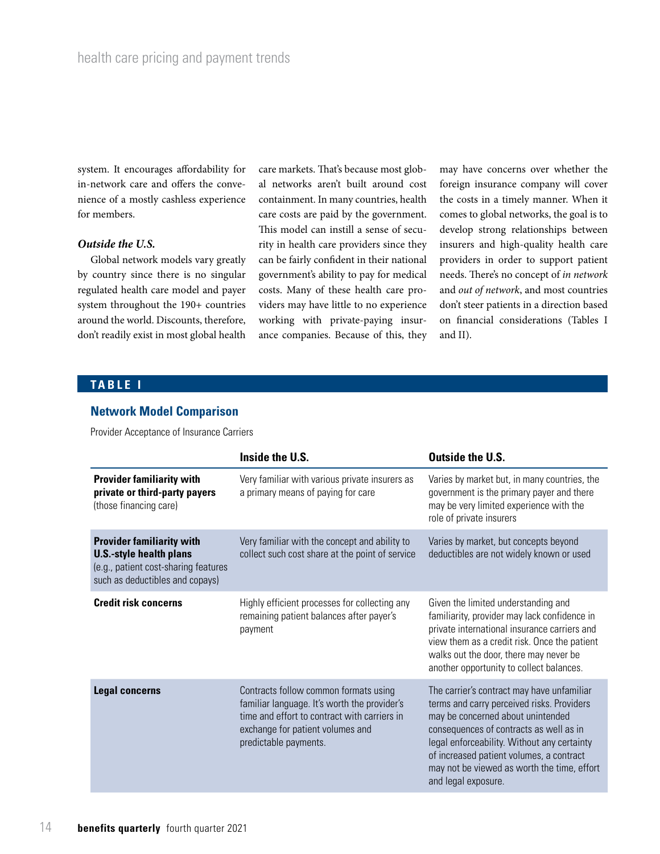system. It encourages affordability for in-network care and offers the convenience of a mostly cashless experience for members.

#### *Outside the U.S.*

Global network models vary greatly by country since there is no singular regulated health care model and payer system throughout the 190+ countries around the world. Discounts, therefore, don't readily exist in most global health

care markets. That's because most global networks aren't built around cost containment. In many countries, health care costs are paid by the government. This model can instill a sense of security in health care providers since they can be fairly confident in their national government's ability to pay for medical costs. Many of these health care providers may have little to no experience working with private-paying insurance companies. Because of this, they

may have concerns over whether the foreign insurance company will cover the costs in a timely manner. When it comes to global networks, the goal is to develop strong relationships between insurers and high-quality health care providers in order to support patient needs. There's no concept of *in network* and *out of network*, and most countries don't steer patients in a direction based on financial considerations (Tables I and II).

## **TABLE I**

#### **Network Model Comparison**

Provider Acceptance of Insurance Carriers

|                                                                                                                                               | Inside the U.S.                                                                                                                                                                                    | <b>Outside the U.S.</b>                                                                                                                                                                                                                                                                                                                   |
|-----------------------------------------------------------------------------------------------------------------------------------------------|----------------------------------------------------------------------------------------------------------------------------------------------------------------------------------------------------|-------------------------------------------------------------------------------------------------------------------------------------------------------------------------------------------------------------------------------------------------------------------------------------------------------------------------------------------|
| <b>Provider familiarity with</b><br>private or third-party payers<br>(those financing care)                                                   | Very familiar with various private insurers as<br>a primary means of paying for care                                                                                                               | Varies by market but, in many countries, the<br>government is the primary payer and there<br>may be very limited experience with the<br>role of private insurers                                                                                                                                                                          |
| <b>Provider familiarity with</b><br><b>U.S.-style health plans</b><br>(e.g., patient cost-sharing features<br>such as deductibles and copays) | Very familiar with the concept and ability to<br>collect such cost share at the point of service                                                                                                   | Varies by market, but concepts beyond<br>deductibles are not widely known or used                                                                                                                                                                                                                                                         |
| <b>Credit risk concerns</b>                                                                                                                   | Highly efficient processes for collecting any<br>remaining patient balances after payer's<br>payment                                                                                               | Given the limited understanding and<br>familiarity, provider may lack confidence in<br>private international insurance carriers and<br>view them as a credit risk. Once the patient<br>walks out the door, there may never be<br>another opportunity to collect balances.                                                                 |
| <b>Legal concerns</b>                                                                                                                         | Contracts follow common formats using<br>familiar language. It's worth the provider's<br>time and effort to contract with carriers in<br>exchange for patient volumes and<br>predictable payments. | The carrier's contract may have unfamiliar<br>terms and carry perceived risks. Providers<br>may be concerned about unintended<br>consequences of contracts as well as in<br>legal enforceability. Without any certainty<br>of increased patient volumes, a contract<br>may not be viewed as worth the time, effort<br>and legal exposure. |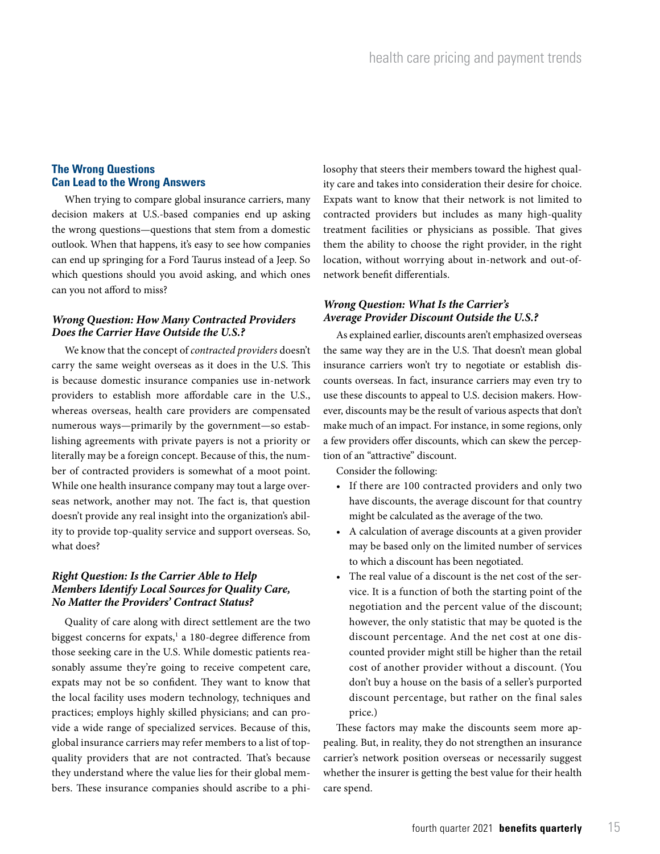## **The Wrong Questions Can Lead to the Wrong Answers**

When trying to compare global insurance carriers, many decision makers at U.S.-based companies end up asking the wrong questions—questions that stem from a domestic outlook. When that happens, it's easy to see how companies can end up springing for a Ford Taurus instead of a Jeep. So which questions should you avoid asking, and which ones can you not afford to miss?

#### *Wrong Question: How Many Contracted Providers Does the Carrier Have Outside the U.S.?*

We know that the concept of *contracted providers* doesn't carry the same weight overseas as it does in the U.S. This is because domestic insurance companies use in-network providers to establish more affordable care in the U.S., whereas overseas, health care providers are compensated numerous ways—primarily by the government—so establishing agreements with private payers is not a priority or literally may be a foreign concept. Because of this, the number of contracted providers is somewhat of a moot point. While one health insurance company may tout a large overseas network, another may not. The fact is, that question doesn't provide any real insight into the organization's ability to provide top-quality service and support overseas. So, what does?

#### *Right Question: Is the Carrier Able to Help Members Identify Local Sources for Quality Care, No Matter the Providers' Contract Status?*

Quality of care along with direct settlement are the two biggest concerns for expats,<sup>1</sup> a 180-degree difference from those seeking care in the U.S. While domestic patients reasonably assume they're going to receive competent care, expats may not be so confident. They want to know that the local facility uses modern technology, techniques and practices; employs highly skilled physicians; and can provide a wide range of specialized services. Because of this, global insurance carriers may refer members to a list of topquality providers that are not contracted. That's because they understand where the value lies for their global members. These insurance companies should ascribe to a philosophy that steers their members toward the highest quality care and takes into consideration their desire for choice. Expats want to know that their network is not limited to contracted providers but includes as many high-quality treatment facilities or physicians as possible. That gives them the ability to choose the right provider, in the right location, without worrying about in-network and out-ofnetwork benefit differentials.

### *Wrong Question: What Is the Carrier's Average Provider Discount Outside the U.S.?*

As explained earlier, discounts aren't emphasized overseas the same way they are in the U.S. That doesn't mean global insurance carriers won't try to negotiate or establish discounts overseas. In fact, insurance carriers may even try to use these discounts to appeal to U.S. decision makers. However, discounts may be the result of various aspects that don't make much of an impact. For instance, in some regions, only a few providers offer discounts, which can skew the perception of an "attractive" discount.

Consider the following:

- If there are 100 contracted providers and only two have discounts, the average discount for that country might be calculated as the average of the two.
- A calculation of average discounts at a given provider may be based only on the limited number of services to which a discount has been negotiated.
- The real value of a discount is the net cost of the service. It is a function of both the starting point of the negotiation and the percent value of the discount; however, the only statistic that may be quoted is the discount percentage. And the net cost at one discounted provider might still be higher than the retail cost of another provider without a discount. (You don't buy a house on the basis of a seller's purported discount percentage, but rather on the final sales price.)

These factors may make the discounts seem more appealing. But, in reality, they do not strengthen an insurance carrier's network position overseas or necessarily suggest whether the insurer is getting the best value for their health care spend.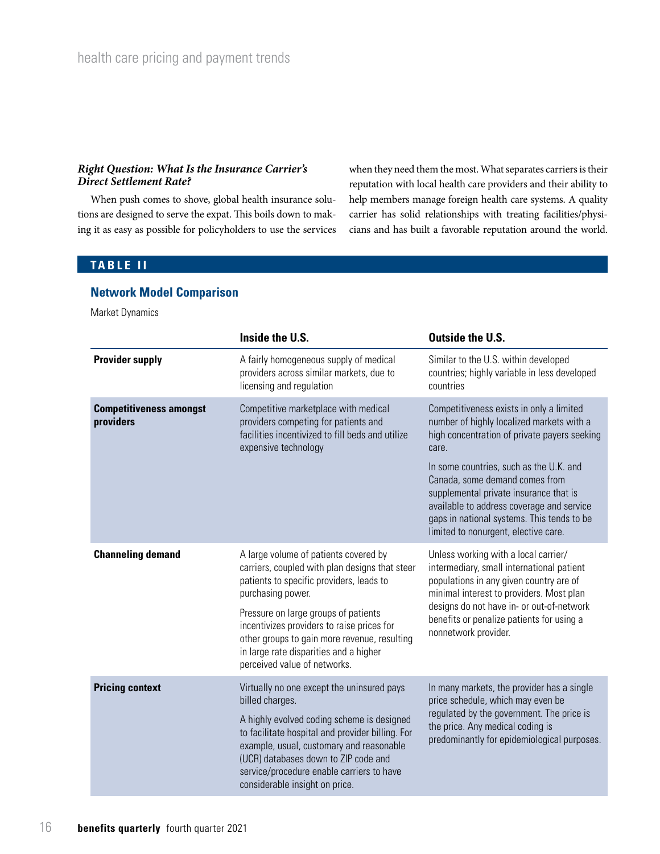#### *Right Question: What Is the Insurance Carrier's Direct Settlement Rate?*

When push comes to shove, global health insurance solutions are designed to serve the expat. This boils down to making it as easy as possible for policyholders to use the services when they need them the most. What separates carriers is their reputation with local health care providers and their ability to help members manage foreign health care systems. A quality carrier has solid relationships with treating facilities/physicians and has built a favorable reputation around the world.

# **TABLE II**

## **Network Model Comparison**

Market Dynamics

|                                             | Inside the U.S.                                                                                                                                                                                                                                                                                                                                                          | <b>Outside the U.S.</b>                                                                                                                                                                                                                                                                                                                                                                                  |
|---------------------------------------------|--------------------------------------------------------------------------------------------------------------------------------------------------------------------------------------------------------------------------------------------------------------------------------------------------------------------------------------------------------------------------|----------------------------------------------------------------------------------------------------------------------------------------------------------------------------------------------------------------------------------------------------------------------------------------------------------------------------------------------------------------------------------------------------------|
| <b>Provider supply</b>                      | A fairly homogeneous supply of medical<br>providers across similar markets, due to<br>licensing and regulation                                                                                                                                                                                                                                                           | Similar to the U.S. within developed<br>countries; highly variable in less developed<br>countries                                                                                                                                                                                                                                                                                                        |
| <b>Competitiveness amongst</b><br>providers | Competitive marketplace with medical<br>providers competing for patients and<br>facilities incentivized to fill beds and utilize<br>expensive technology                                                                                                                                                                                                                 | Competitiveness exists in only a limited<br>number of highly localized markets with a<br>high concentration of private payers seeking<br>care.<br>In some countries, such as the U.K. and<br>Canada, some demand comes from<br>supplemental private insurance that is<br>available to address coverage and service<br>gaps in national systems. This tends to be<br>limited to nonurgent, elective care. |
| <b>Channeling demand</b>                    | A large volume of patients covered by<br>carriers, coupled with plan designs that steer<br>patients to specific providers, leads to<br>purchasing power.<br>Pressure on large groups of patients<br>incentivizes providers to raise prices for<br>other groups to gain more revenue, resulting<br>in large rate disparities and a higher<br>perceived value of networks. | Unless working with a local carrier/<br>intermediary, small international patient<br>populations in any given country are of<br>minimal interest to providers. Most plan<br>designs do not have in- or out-of-network<br>benefits or penalize patients for using a<br>nonnetwork provider.                                                                                                               |
| <b>Pricing context</b>                      | Virtually no one except the uninsured pays<br>billed charges.<br>A highly evolved coding scheme is designed<br>to facilitate hospital and provider billing. For<br>example, usual, customary and reasonable<br>(UCR) databases down to ZIP code and<br>service/procedure enable carriers to have<br>considerable insight on price.                                       | In many markets, the provider has a single<br>price schedule, which may even be<br>regulated by the government. The price is<br>the price. Any medical coding is<br>predominantly for epidemiological purposes.                                                                                                                                                                                          |